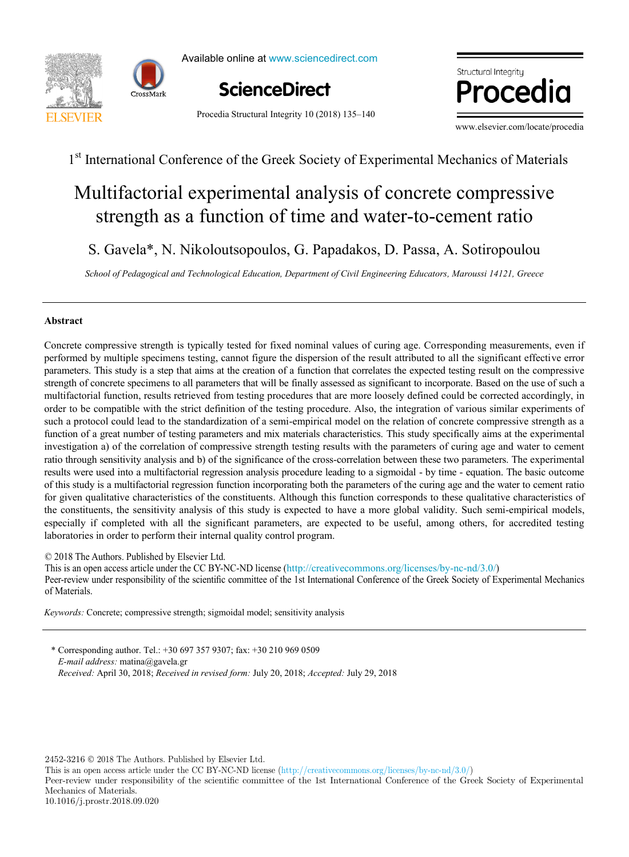



Available online at www.sciencedirect.com



P. Brandão<sup>a</sup>

Procedia Structural Integrity 10 (2018) 135–140



www.elsevier.com/locate/procedia

## 1<sup>st</sup> International Conference of the Greek Society of Experimental Mechanics of Materials

# strength as a function of time and water-to-cement ratio Multifactorial experimental analysis of concrete compressive

S. Gavela\*, N. Nikoloutsopoulos, G. Papadakos, D. Passa, A. Sotiropoulou

School of Pedagogical and Technological Education, Department of Civil Engineering Educators, Maroussi 14121, Greece

,  $\overline{\phantom{a}}$  ,  $\overline{\phantom{a}}$  ,  $\overline{\phantom{a}}$  ,  $\overline{\phantom{a}}$  ,  $\overline{\phantom{a}}$  ,  $\overline{\phantom{a}}$  ,  $\overline{\phantom{a}}$  ,  $\overline{\phantom{a}}$  ,  $\overline{\phantom{a}}$  ,  $\overline{\phantom{a}}$  ,  $\overline{\phantom{a}}$  ,  $\overline{\phantom{a}}$  ,  $\overline{\phantom{a}}$  ,  $\overline{\phantom{a}}$  ,  $\overline{\phantom{a}}$  ,  $\overline{\phantom{a$ 

,  $\overline{\phantom{a}}$  ,  $\overline{\phantom{a}}$  ,  $\overline{\phantom{a}}$  ,  $\overline{\phantom{a}}$  ,  $\overline{\phantom{a}}$  ,  $\overline{\phantom{a}}$  ,  $\overline{\phantom{a}}$  ,  $\overline{\phantom{a}}$  ,  $\overline{\phantom{a}}$  ,  $\overline{\phantom{a}}$  ,  $\overline{\phantom{a}}$  ,  $\overline{\phantom{a}}$  ,  $\overline{\phantom{a}}$  ,  $\overline{\phantom{a}}$  ,  $\overline{\phantom{a}}$  ,  $\overline{\phantom{a$ 

\*

#### *a* **Abstract Abstract** *Department of Mechanical Engineering, Instituto Superior Técnico, Universidade de Lisboa, Av. Rovisco Pais, 1, 1049-001 Lisboa,*

Concrete compressive strength is typically tested for fixed nominal values of curing age. Corresponding measurements, even if performed by multiple specimens testing, cannot figure the dispersion of the result attributed to all the significant effective error *Ceffera, Department of Department of Ceremony, Ceffera, Instituto Superior Técnico, Instituto Superior Técnico, Instituto Superior Pais, 1, 1049-001 Lisboa, 1, 1049-001 Lisboa, 1, 1049-001 Lisboa, 1, 1049-001 Lisboa, 1, 1* parameters. This study is a step that aims at the creation of a function that correlates the expected testing result on the compressive order to be compatible with the strict definition of the testing procedure. Also, the integration of various similar experiments of function of a great number of testing parameters and mix materials characteristics. This study specifically aims at the experimental investigation a) of the correlation of compressive strength testing results with the parameters of curing age and water to cement ratio through sensitivity analysis and b) of the significance of the cross-correlation between these two parameters. The experimental results were used into a multifactorial regression analysis procedure leading to a sigmoidal - by time - equation. The basic outcome of this study is a multifactorial regression function incorporating both the parameters of the curing age and the water to cement ratio for given qualitative characteristics of the constituents. Although this function corresponds to these qualitative characteristics of the constituents, the sensitivity analysis of this study is expected to have a more global validity. Such semi-empirical models, rectangular block shape, in order to be the model shape, in order to be  $\alpha$  mesh obtained from the model, and the real 3D mesh obtained from the significant narrunders, are available scrap. The blade scrap. The blade scr especially if completed with all the significant parameters, are expected to be useful, among others, for accredited testing<br>laboratories in order to perform their internal quality control program laboratories in order to perform their internal quality control program. strength of concrete specimens to all parameters that will be finally assessed as significant to incorporate. Based on the use of such a multifactorial function, results retrieved from testing procedures that are more loosely defined could be corrected accordingly, in such a protocol could lead to the standardization of a semi-empirical model on the relation of concrete compressive strength as a 1<sup>24</sup> International Conference of the Greek Society of Experimental Mechanics of Materials<br> **Multifactorial experimental analysis of concrete compressive<br>
Strength as a function of time and water-to-cement ratio<br>
S. Gavel** the contract of the contract of the contract of the contract of the contract of the contract of the contract of

© 2018 The Authors. Published by Elsevier Ltd.

This is an open access article under the CC BY-NC-ND license (http://creativecommons.org/licenses/by-nc-nd/3.0/) Peer-review under responsibility of the scientific committee of the 1st International Conference of the Greek Society of Experimental Mechanics of Materials. responsibility of the scientific committee of the 1st International Conference of the Greek Society of Experimental Mechanics of Materials The  $\frac{1}{2}$ -neuron access are considered the CC BY-NC-ND licenses are commutate of the  $\frac{1}{2}$  of the CCC BY-NC-ND licenses of the Great Society of Experimental Mechanics. responsibility of the scientific committee of the 1st International Conference of the Greek Society of Experimental Mechanics of Materials

*Keywords:* Concrete; compressive strength; sigmoidal model; sensitivity analysis *Keywords:* Concrete; compressive strength; sigmoidal model; sensitivity analysis

\* Corresponding author. Tel.: +30 697 357 9307; fax: +30 210 969 0509 *E-mail address:* matina@gavela.gr *Received:* April 30, 2018; *Received in revised form:* July 20, 2018; *Accepted:* July 29, 2018 *Received:* April 30, 2018;*Received in revised form:* July 20, 2018;*Accepted:* July 29, 2018

 $2452-3216$  ©  $2018$  The Authors. Published by Elsevier Ltd.

Peer-review under responsibility of the Scientific Committee of PCF 2016. This is an open access article under the CC BY-NC-ND license (http://creativecommons.org/licenses/by-nc-nd/3.0/)

Peer-review under responsibility of the scientific committee of the 1st International Conference of the Greek Society of Experimental Mechanics of Materials.

10.1016/j.prostr.2018.09.020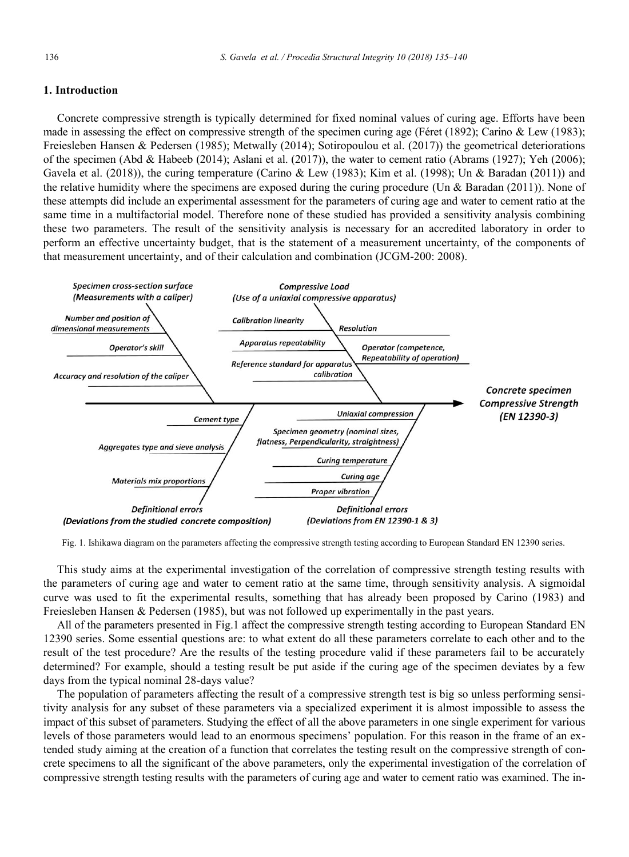### **1. Introduction**

Concrete compressive strength is typically determined for fixed nominal values of curing age. Efforts have been made in assessing the effect on compressive strength of the specimen curing age (Féret (1892); Carino & Lew (1983); Freiesleben Hansen & Pedersen (1985); Metwally (2014); Sotiropoulou et al. (2017)) the geometrical deteriorations of the specimen (Abd & Habeeb (2014); Aslani et al. (2017)), the water to cement ratio (Abrams (1927); Yeh (2006); Gavela et al. (2018)), the curing temperature (Carino & Lew (1983); Kim et al. (1998); Un & Baradan (2011)) and the relative humidity where the specimens are exposed during the curing procedure (Un & Baradan (2011)). None of these attempts did include an experimental assessment for the parameters of curing age and water to cement ratio at the same time in a multifactorial model. Therefore none of these studied has provided a sensitivity analysis combining these two parameters. The result of the sensitivity analysis is necessary for an accredited laboratory in order to perform an effective uncertainty budget, that is the statement of a measurement uncertainty, of the components of that measurement uncertainty, and of their calculation and combination (JCGM-200: 2008).



Fig. 1. Ishikawa diagram on the parameters affecting the compressive strength testing according to European Standard EN 12390 series.

This study aims at the experimental investigation of the correlation of compressive strength testing results with the parameters of curing age and water to cement ratio at the same time, through sensitivity analysis. A sigmoidal curve was used to fit the experimental results, something that has already been proposed by Carino (1983) and Freiesleben Hansen & Pedersen (1985), but was not followed up experimentally in the past years.

All of the parameters presented in Fig.1 affect the compressive strength testing according to European Standard EN 12390 series. Some essential questions are: to what extent do all these parameters correlate to each other and to the result of the test procedure? Are the results of the testing procedure valid if these parameters fail to be accurately determined? For example, should a testing result be put aside if the curing age of the specimen deviates by a few days from the typical nominal 28-days value?

The population of parameters affecting the result of a compressive strength test is big so unless performing sensitivity analysis for any subset of these parameters via a specialized experiment it is almost impossible to assess the impact of this subset of parameters. Studying the effect of all the above parameters in one single experiment for various levels of those parameters would lead to an enormous specimens' population. For this reason in the frame of an extended study aiming at the creation of a function that correlates the testing result on the compressive strength of concrete specimens to all the significant of the above parameters, only the experimental investigation of the correlation of compressive strength testing results with the parameters of curing age and water to cement ratio was examined. The in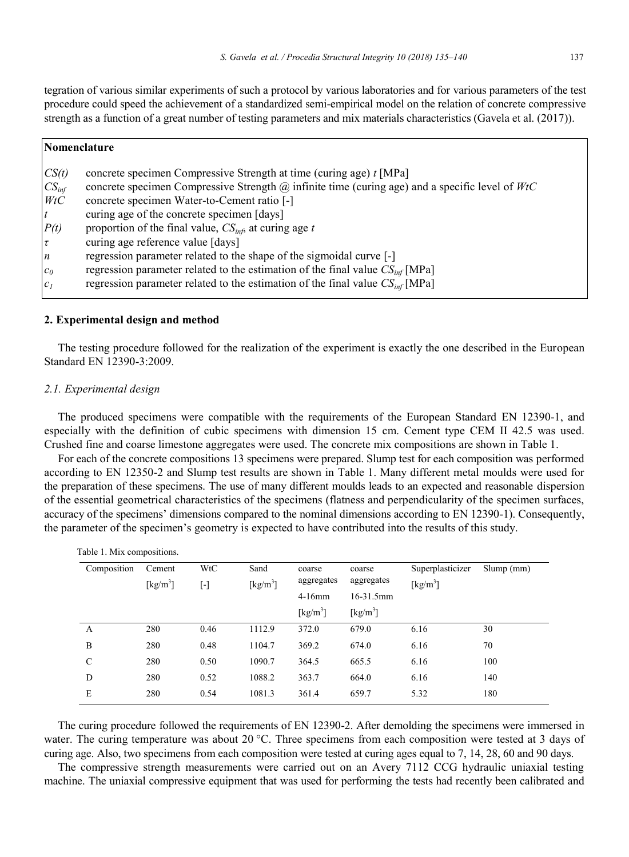tegration of various similar experiments of such a protocol by various laboratories and for various parameters of the test procedure could speed the achievement of a standardized semi-empirical model on the relation of concrete compressive strength as a function of a great number of testing parameters and mix materials characteristics (Gavela et al. (2017)).

| Nomenclature     |                                                                                                          |  |  |  |  |
|------------------|----------------------------------------------------------------------------------------------------------|--|--|--|--|
| CS(t)            | concrete specimen Compressive Strength at time (curing age) t [MPa]                                      |  |  |  |  |
| $CS_{inf}$       | concrete specimen Compressive Strength $\omega$ infinite time (curing age) and a specific level of $WtC$ |  |  |  |  |
| WtC              | concrete specimen Water-to-Cement ratio [-]                                                              |  |  |  |  |
| $\mathfrak{r}$   | curing age of the concrete specimen [days]                                                               |  |  |  |  |
| P(t)             | proportion of the final value, $CSinf$ at curing age t                                                   |  |  |  |  |
| $ \tau $         | curing age reference value [days]                                                                        |  |  |  |  |
| $\boldsymbol{n}$ | regression parameter related to the shape of the sigmoidal curve [-]                                     |  |  |  |  |
| $c_0$            | regression parameter related to the estimation of the final value $CSinf$ [MPa]                          |  |  |  |  |
| c <sub>I</sub>   | regression parameter related to the estimation of the final value $CSinf$ [MPa]                          |  |  |  |  |

#### **2. Experimental design and method**

Table 1. Mix compositions.

The testing procedure followed for the realization of the experiment is exactly the one described in the European Standard EN 12390-3:2009.

#### *2.1. Experimental design*

The produced specimens were compatible with the requirements of the European Standard EN 12390-1, and especially with the definition of cubic specimens with dimension 15 cm. Cement type CEM II 42.5 was used. Crushed fine and coarse limestone aggregates were used. The concrete mix compositions are shown in Table 1.

For each of the concrete compositions 13 specimens were prepared. Slump test for each composition was performed according to EN 12350-2 and Slump test results are shown in Table 1. Many different metal moulds were used for the preparation of these specimens. The use of many different moulds leads to an expected and reasonable dispersion of the essential geometrical characteristics of the specimens (flatness and perpendicularity of the specimen surfaces, accuracy of the specimens' dimensions compared to the nominal dimensions according to EN 12390-1). Consequently, the parameter of the specimen's geometry is expected to have contributed into the results of this study.

| Composition | Cement<br>$\left[\mathrm{kg/m}^3\right]$ | WtC<br>$[\cdot]$ | Sand<br>$\left[\mathrm{kg/m^3}\right]$ | coarse<br>aggregates         | coarse<br>aggregates           | Superplasticizer<br>$\left[\mathrm{kg/m}^3\right]$ | Slump(mm) |
|-------------|------------------------------------------|------------------|----------------------------------------|------------------------------|--------------------------------|----------------------------------------------------|-----------|
|             |                                          |                  |                                        | $4-16$ mm                    | 16-31.5mm                      |                                                    |           |
|             |                                          |                  |                                        | $\left[\text{kg/m}^3\right]$ | $\left[\mathrm{kg/m}^3\right]$ |                                                    |           |
| А           | 280                                      | 0.46             | 1112.9                                 | 372.0                        | 679.0                          | 6.16                                               | 30        |
| B           | 280                                      | 0.48             | 1104.7                                 | 369.2                        | 674.0                          | 6.16                                               | 70        |
| C           | 280                                      | 0.50             | 1090.7                                 | 364.5                        | 665.5                          | 6.16                                               | 100       |
| D           | 280                                      | 0.52             | 1088.2                                 | 363.7                        | 664.0                          | 6.16                                               | 140       |
| E           | 280                                      | 0.54             | 1081.3                                 | 361.4                        | 659.7                          | 5.32                                               | 180       |

The curing procedure followed the requirements of EN 12390-2. After demolding the specimens were immersed in water. The curing temperature was about 20 °C. Three specimens from each composition were tested at 3 days of curing age. Also, two specimens from each composition were tested at curing ages equal to 7, 14, 28, 60 and 90 days.

The compressive strength measurements were carried out on an Avery 7112 CCG hydraulic uniaxial testing machine. The uniaxial compressive equipment that was used for performing the tests had recently been calibrated and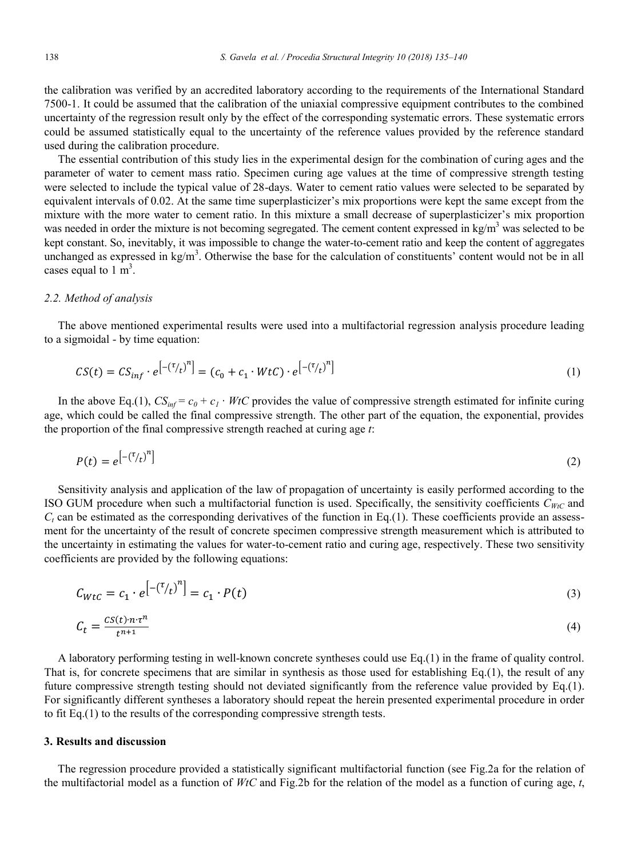the calibration was verified by an accredited laboratory according to the requirements of the International Standard 7500-1. It could be assumed that the calibration of the uniaxial compressive equipment contributes to the combined uncertainty of the regression result only by the effect of the corresponding systematic errors. These systematic errors could be assumed statistically equal to the uncertainty of the reference values provided by the reference standard used during the calibration procedure.

The essential contribution of this study lies in the experimental design for the combination of curing ages and the parameter of water to cement mass ratio. Specimen curing age values at the time of compressive strength testing were selected to include the typical value of 28-days. Water to cement ratio values were selected to be separated by equivalent intervals of 0.02. At the same time superplasticizer's mix proportions were kept the same except from the mixture with the more water to cement ratio. In this mixture a small decrease of superplasticizer's mix proportion was needed in order the mixture is not becoming segregated. The cement content expressed in  $\text{kg/m}^3$  was selected to be kept constant. So, inevitably, it was impossible to change the water-to-cement ratio and keep the content of aggregates unchanged as expressed in  $kg/m<sup>3</sup>$ . Otherwise the base for the calculation of constituents' content would not be in all cases equal to  $1 \text{ m}^3$ .

#### *2.2. Method of analysis*

The above mentioned experimental results were used into a multifactorial regression analysis procedure leading to a sigmoidal - by time equation:

$$
CS(t) = CS_{inf} \cdot e^{-\left(\tau_{/t}\right)^{n}} = (c_{0} + c_{1} \cdot WtC) \cdot e^{-\left(\tau_{/t}\right)^{n}}
$$
\n(1)

In the above Eq.(1),  $CS_{int} = c_0 + c_1 \cdot WtC$  provides the value of compressive strength estimated for infinite curing age, which could be called the final compressive strength. The other part of the equation, the exponential, provides the proportion of the final compressive strength reached at curing age *t*:

$$
P(t) = e^{\left[-\binom{\tau}{t}\right)^n}
$$

Sensitivity analysis and application of the law of propagation of uncertainty is easily performed according to the ISO GUM procedure when such a multifactorial function is used. Specifically, the sensitivity coefficients  $C_{WtC}$  and  $C_t$  can be estimated as the corresponding derivatives of the function in Eq.(1). These coefficients provide an assessment for the uncertainty of the result of concrete specimen compressive strength measurement which is attributed to the uncertainty in estimating the values for water-to-cement ratio and curing age, respectively. These two sensitivity coefficients are provided by the following equations:

$$
C_{WtC} = c_1 \cdot e^{\left[ -\left(\frac{\tau}{t}\right)^n \right]} = c_1 \cdot P(t) \tag{3}
$$

$$
C_t = \frac{c s(t) \cdot n \cdot \tau^n}{t^{n+1}} \tag{4}
$$

A laboratory performing testing in well-known concrete syntheses could use Eq.(1) in the frame of quality control. That is, for concrete specimens that are similar in synthesis as those used for establishing Eq.(1), the result of any future compressive strength testing should not deviated significantly from the reference value provided by Eq.(1). For significantly different syntheses a laboratory should repeat the herein presented experimental procedure in order to fit Eq.(1) to the results of the corresponding compressive strength tests.

#### **3. Results and discussion**

The regression procedure provided a statistically significant multifactorial function (see Fig.2a for the relation of the multifactorial model as a function of *WtC* and Fig.2b for the relation of the model as a function of curing age, *t*,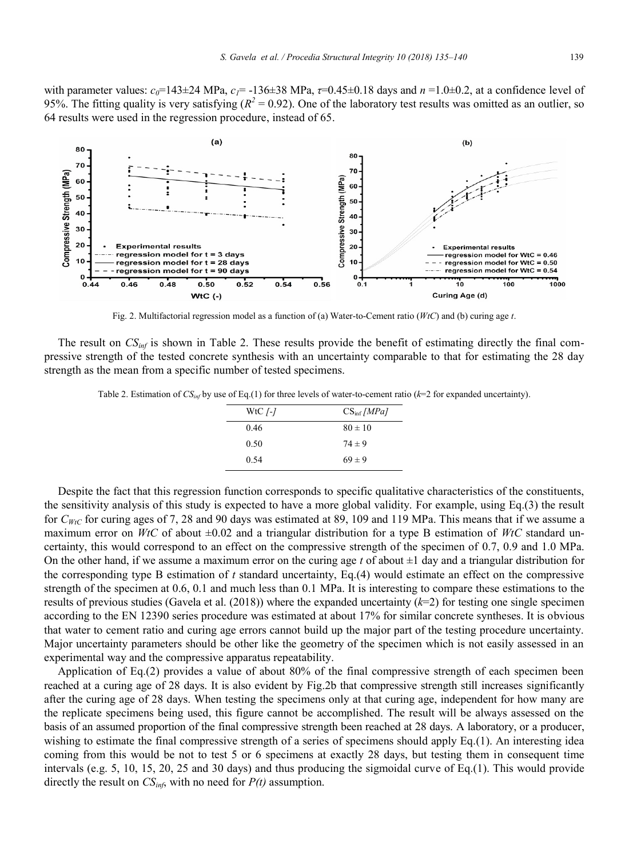with parameter values:  $c_0$ =143±24 MPa,  $c_1$ =-136±38 MPa,  $\tau$ =0.45±0.18 days and  $n = 1.0\pm0.2$ , at a confidence level of 95%. The fitting quality is very satisfying  $(R^2 = 0.92)$ . One of the laboratory test results was omitted as an outlier, so 64 results were used in the regression procedure, instead of 65.



Fig. 2. Multifactorial regression model as a function of (a) Water-to-Cement ratio (*WtC*) and (b) curing age *t*.

The result on *CS<sub>inf</sub>* is shown in Table 2. These results provide the benefit of estimating directly the final compressive strength of the tested concrete synthesis with an uncertainty comparable to that for estimating the 28 day strength as the mean from a specific number of tested specimens.

Table 2. Estimation of *CSinf* by use of Eq.(1) for three levels of water-to-cement ratio (*k*=2 for expanded uncertainty).

| WtC $\sqrt{-1}$ | $CS_{\rm inf}/MPa$ |
|-----------------|--------------------|
| 0.46            | $80 \pm 10$        |
| 0.50            | $74 \pm 9$         |
| 0.54            | $69 \pm 9$         |

Despite the fact that this regression function corresponds to specific qualitative characteristics of the constituents, the sensitivity analysis of this study is expected to have a more global validity. For example, using Eq.(3) the result for  $C_{WtC}$  for curing ages of 7, 28 and 90 days was estimated at 89, 109 and 119 MPa. This means that if we assume a maximum error on *WtC* of about ±0.02 and a triangular distribution for a type B estimation of *WtC* standard uncertainty, this would correspond to an effect on the compressive strength of the specimen of 0.7, 0.9 and 1.0 MPa. On the other hand, if we assume a maximum error on the curing age  $t$  of about  $\pm 1$  day and a triangular distribution for the corresponding type B estimation of *t* standard uncertainty, Eq.(4) would estimate an effect on the compressive strength of the specimen at 0.6, 0.1 and much less than 0.1 MPa. It is interesting to compare these estimations to the results of previous studies (Gavela et al. (2018)) where the expanded uncertainty (*k*=2) for testing one single specimen according to the EN 12390 series procedure was estimated at about 17% for similar concrete syntheses. It is obvious that water to cement ratio and curing age errors cannot build up the major part of the testing procedure uncertainty. Major uncertainty parameters should be other like the geometry of the specimen which is not easily assessed in an experimental way and the compressive apparatus repeatability.

Application of Eq.(2) provides a value of about 80% of the final compressive strength of each specimen been reached at a curing age of 28 days. It is also evident by Fig.2b that compressive strength still increases significantly after the curing age of 28 days. When testing the specimens only at that curing age, independent for how many are the replicate specimens being used, this figure cannot be accomplished. The result will be always assessed on the basis of an assumed proportion of the final compressive strength been reached at 28 days. A laboratory, or a producer, wishing to estimate the final compressive strength of a series of specimens should apply Eq.(1). An interesting idea coming from this would be not to test 5 or 6 specimens at exactly 28 days, but testing them in consequent time intervals (e.g. 5, 10, 15, 20, 25 and 30 days) and thus producing the sigmoidal curve of Eq.(1). This would provide directly the result on  $CS<sub>inf</sub>$ , with no need for  $P(t)$  assumption.